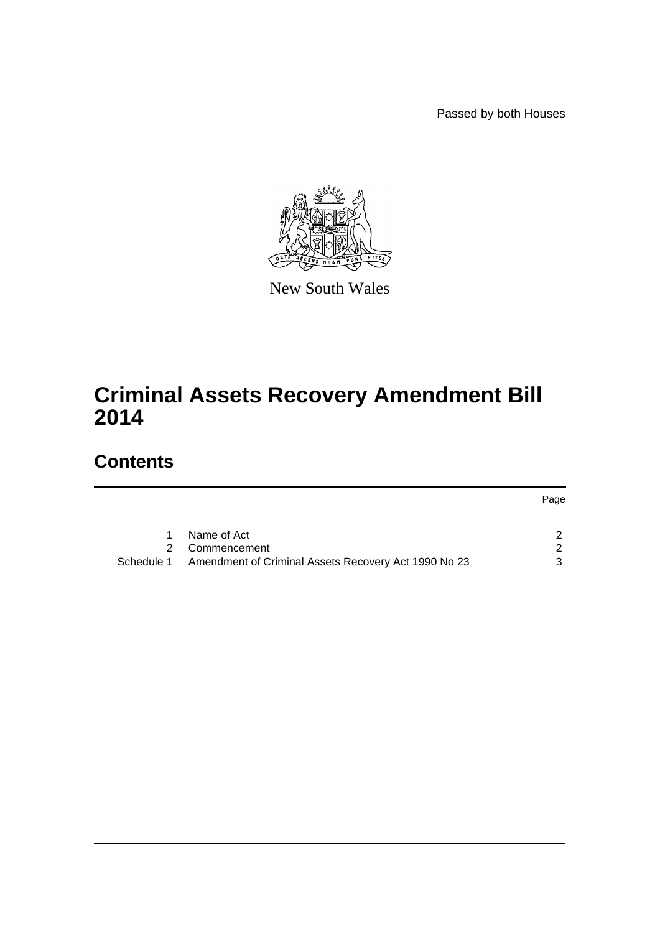Passed by both Houses

Page



New South Wales

# **Criminal Assets Recovery Amendment Bill 2014**

## **Contents**

|            | Name of Act                                          |   |
|------------|------------------------------------------------------|---|
|            | 2 Commencement                                       |   |
| Schedule 1 | Amendment of Criminal Assets Recovery Act 1990 No 23 | 3 |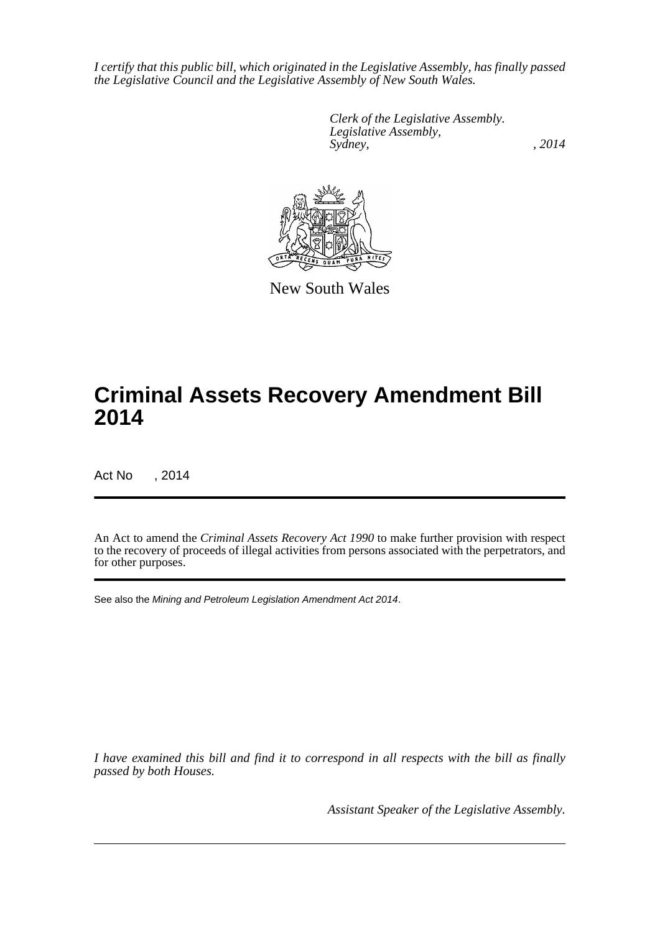*I certify that this public bill, which originated in the Legislative Assembly, has finally passed the Legislative Council and the Legislative Assembly of New South Wales.*

> *Clerk of the Legislative Assembly. Legislative Assembly, Sydney,* , 2014



New South Wales

## **Criminal Assets Recovery Amendment Bill 2014**

Act No , 2014

An Act to amend the *Criminal Assets Recovery Act 1990* to make further provision with respect to the recovery of proceeds of illegal activities from persons associated with the perpetrators, and for other purposes.

See also the *Mining and Petroleum Legislation Amendment Act 2014*.

*I have examined this bill and find it to correspond in all respects with the bill as finally passed by both Houses.*

*Assistant Speaker of the Legislative Assembly.*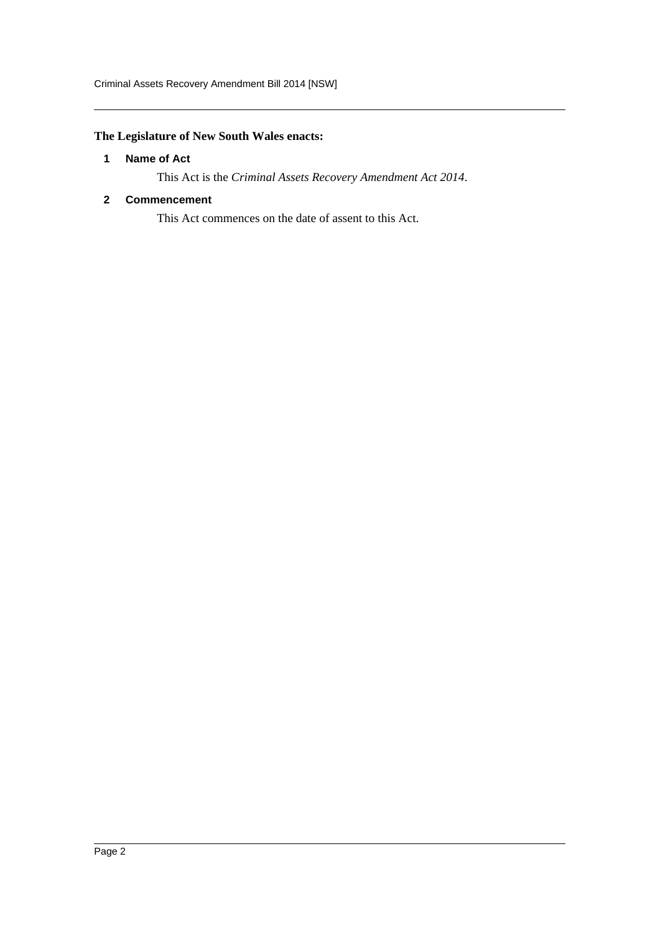### <span id="page-2-0"></span>**The Legislature of New South Wales enacts:**

#### **1 Name of Act**

This Act is the *Criminal Assets Recovery Amendment Act 2014*.

#### <span id="page-2-1"></span>**2 Commencement**

This Act commences on the date of assent to this Act.